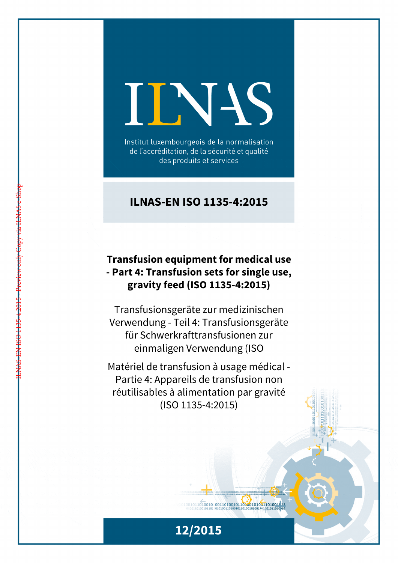# INS

Institut luxembourgeois de la normalisation de l'accréditation, de la sécurité et qualité des produits et services

# **ILNAS-EN ISO 1135-4:2015**

# **Transfusion equipment for medical use - Part 4: Transfusion sets for single use, gravity feed (ISO 1135-4:2015)**

ILNAS-EN ISO 1135-4:2015 - Preview only Copy via ILNAS e-Shop

Transfusionsgeräte zur medizinischen Verwendung - Teil 4: Transfusionsgeräte für Schwerkrafttransfusionen zur einmaligen Verwendung (ISO

Matériel de transfusion à usage médical - Partie 4: Appareils de transfusion non réutilisables à alimentation par gravité (ISO 1135-4:2015)



 $1011010010 00110100101101001001101001111$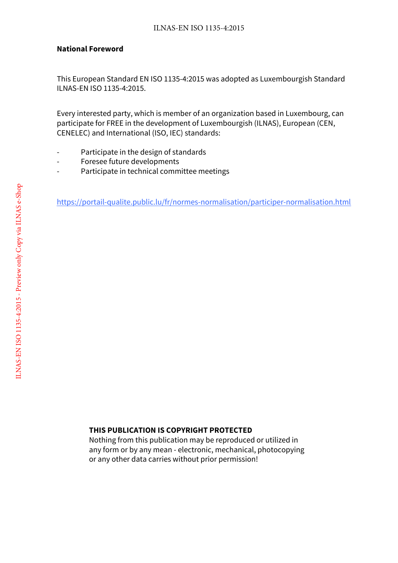#### **National Foreword**

This European Standard EN ISO 1135-4:2015 was adopted as Luxembourgish Standard ILNAS-EN ISO 1135-4:2015.

Every interested party, which is member of an organization based in Luxembourg, can participate for FREE in the development of Luxembourgish (ILNAS), European (CEN, CENELEC) and International (ISO, IEC) standards:

- Participate in the design of standards
- Foresee future developments
- Participate in technical committee meetings

https://portail-qualite.public.lu/fr/normes-normalisation/participer-normalisation.html

#### **THIS PUBLICATION IS COPYRIGHT PROTECTED**

Nothing from this publication may be reproduced or utilized in any form or by any mean - electronic, mechanical, photocopying or any other data carries without prior permission!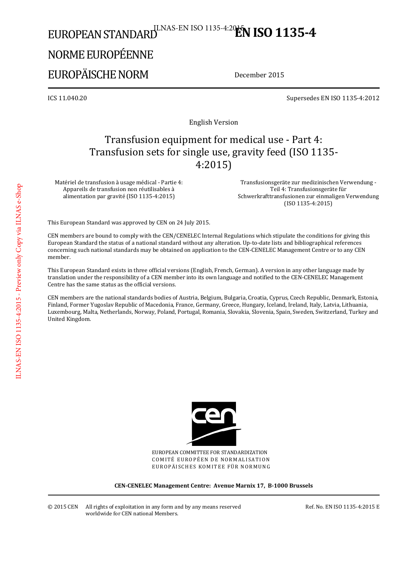# EUROPEAN STANDARD<sup>ILNAS-EN ISO 1135-4:20<sup>15</sup>N **ISO 1135-4**</sup>

# NORME EUROPÉENNE

# EUROPÄISCHE NORM

December 2015

ICS 11.040.20 Supersedes EN ISO 1135-4:2012

English Version

# Transfusion equipment for medical use - Part 4: Transfusion sets for single use, gravity feed (ISO 1135- 4:2015)

Matériel de transfusion à usage médical - Partie 4: Appareils de transfusion non réutilisables à alimentation par gravité (ISO 1135-4:2015)

 Transfusionsgeräte zur medizinischen Verwendung - Teil 4: Transfusionsgeräte für Schwerkrafttransfusionen zur einmaligen Verwendung (ISO 1135-4:2015)

This European Standard was approved by CEN on 24 July 2015.

CEN members are bound to comply with the CEN/CENELEC Internal Regulations which stipulate the conditions for giving this European Standard the status of a national standard without any alteration. Up-to-date lists and bibliographical references concerning such national standards may be obtained on application to the CEN-CENELEC Management Centre or to any CEN member.

This European Standard exists in three official versions (English, French, German). A version in any other language made by translation under the responsibility of a CEN member into its own language and notified to the CEN-CENELEC Management Centre has the same status as the official versions.

CEN members are the national standards bodies of Austria, Belgium, Bulgaria, Croatia, Cyprus, Czech Republic, Denmark, Estonia, Finland, Former Yugoslav Republic of Macedonia, France, Germany, Greece, Hungary, Iceland, Ireland, Italy, Latvia, Lithuania, Luxembourg, Malta, Netherlands, Norway, Poland, Portugal, Romania, Slovakia, Slovenia, Spain, Sweden, Switzerland, Turkey and United Kingdom.



EUROPEAN COMMITTEE FOR STANDARDIZATION COMITÉ EUROPÉEN DE NORMALISATION EUROPÄISCHES KOMITEE FÜR NORMUNG

**CEN-CENELEC Management Centre: Avenue Marnix 17, B-1000 Brussels** 

Ref. No. EN ISO 1135-4:2015 E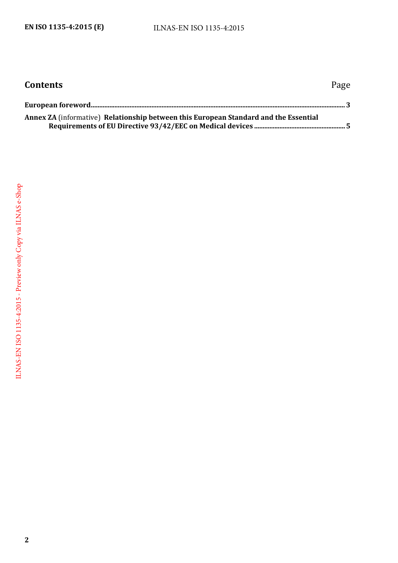| <b>Contents</b>                                                                      | Page |
|--------------------------------------------------------------------------------------|------|
|                                                                                      |      |
| Annex ZA (informative) Relationship between this European Standard and the Essential |      |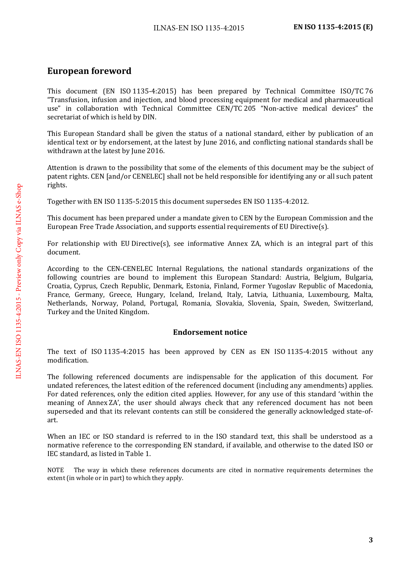## <span id="page-4-0"></span>**European foreword**

This document (EN ISO 1135-4:2015) has been prepared by Technical Committee ISO/TC 76 "Transfusion, infusion and injection, and blood processing equipment for medical and pharmaceutical use" in collaboration with Technical Committee CEN/TC 205 "Non-active medical devices" the secretariat of which is held by DIN.

This European Standard shall be given the status of a national standard, either by publication of an identical text or by endorsement, at the latest by June 2016, and conflicting national standards shall be withdrawn at the latest by June 2016.

Attention is drawn to the possibility that some of the elements of this document may be the subject of patent rights. CEN [and/or CENELEC] shall not be held responsible for identifying any or all such patent rights.

Together with EN ISO 1135-5:2015 this document supersedes EN ISO 1135-4:2012.

This document has been prepared under a mandate given to CEN by the European Commission and the European Free Trade Association, and supports essential requirements of EU Directive(s).

For relationship with EU Directive(s), see informative Annex ZA, which is an integral part of this document.

According to the CEN-CENELEC Internal Regulations, the national standards organizations of the following countries are bound to implement this European Standard: Austria, Belgium, Bulgaria, Croatia, Cyprus, Czech Republic, Denmark, Estonia, Finland, Former Yugoslav Republic of Macedonia, France, Germany, Greece, Hungary, Iceland, Ireland, Italy, Latvia, Lithuania, Luxembourg, Malta, Netherlands, Norway, Poland, Portugal, Romania, Slovakia, Slovenia, Spain, Sweden, Switzerland, Turkey and the United Kingdom.

#### **Endorsement notice**

The text of ISO 1135-4:2015 has been approved by CEN as EN ISO 1135-4:2015 without any modification.

The following referenced documents are indispensable for the application of this document. For undated references, the latest edition of the referenced document (including any amendments) applies. For dated references, only the edition cited applies. However, for any use of this standard 'within the meaning of Annex ZA', the user should always check that any referenced document has not been superseded and that its relevant contents can still be considered the generally acknowledged state-ofart.

When an IEC or ISO standard is referred to in the ISO standard text, this shall be understood as a normative reference to the corresponding EN standard, if available, and otherwise to the dated ISO or IEC standard, as listed in Table 1.

NOTE The way in which these references documents are cited in normative requirements determines the extent (in whole or in part) to which they apply.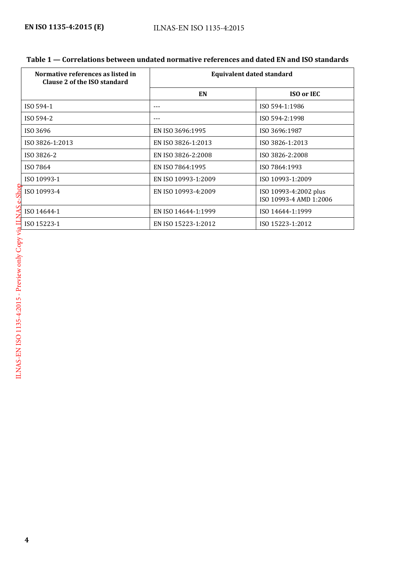| Table 1 — Correlations between undated normative references and dated EN and ISO standards |  |
|--------------------------------------------------------------------------------------------|--|
|--------------------------------------------------------------------------------------------|--|

| Normative references as listed in<br>Clause 2 of the ISO standard | <b>Equivalent dated standard</b> |                                                 |
|-------------------------------------------------------------------|----------------------------------|-------------------------------------------------|
|                                                                   | EN                               | <b>ISO or IEC</b>                               |
| ISO 594-1                                                         | ---                              | ISO 594-1:1986                                  |
| ISO 594-2                                                         | $--$                             | ISO 594-2:1998                                  |
| ISO 3696                                                          | EN ISO 3696:1995                 | ISO 3696:1987                                   |
| ISO 3826-1:2013                                                   | EN ISO 3826-1:2013               | ISO 3826-1:2013                                 |
| ISO 3826-2                                                        | EN ISO 3826-2:2008               | ISO 3826-2:2008                                 |
| ISO 7864                                                          | EN ISO 7864:1995                 | ISO 7864:1993                                   |
| ISO 10993-1                                                       | EN ISO 10993-1:2009              | ISO 10993-1:2009                                |
| ISO 10993-4                                                       | EN ISO 10993-4:2009              | ISO 10993-4:2002 plus<br>ISO 10993-4 AMD 1:2006 |
| ISO 14644-1                                                       | EN ISO 14644-1:1999              | ISO 14644-1:1999                                |
| ISO 15223-1                                                       | EN ISO 15223-1:2012              | ISO 15223-1:2012                                |